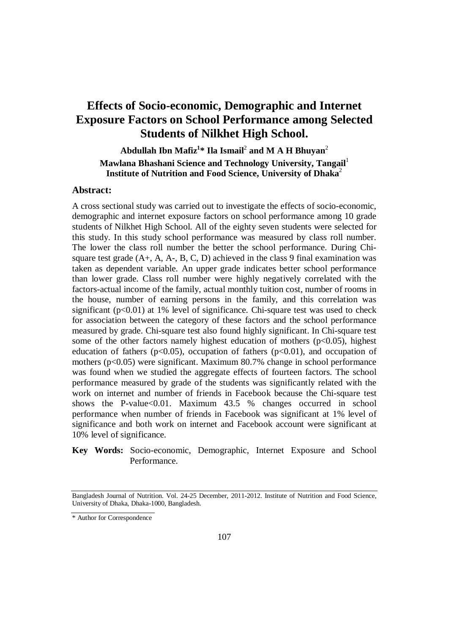# **Effects of Socio-economic, Demographic and Internet Exposure Factors on School Performance among Selected Students of Nilkhet High School.**

**Abdullah Ibn Mafiz1 \* Ila Ismail**<sup>2</sup> **and M A H Bhuyan**<sup>2</sup> **Mawlana Bhashani Science and Technology University, Tangail**<sup>1</sup> **Institute of Nutrition and Food Science, University of Dhaka**<sup>2</sup>

# **Abstract:**

A cross sectional study was carried out to investigate the effects of socio-economic, demographic and internet exposure factors on school performance among 10 grade students of Nilkhet High School. All of the eighty seven students were selected for this study. In this study school performance was measured by class roll number. The lower the class roll number the better the school performance. During Chisquare test grade  $(A+, A, A-, B, C, D)$  achieved in the class 9 final examination was taken as dependent variable. An upper grade indicates better school performance than lower grade. Class roll number were highly negatively correlated with the factors-actual income of the family, actual monthly tuition cost, number of rooms in the house, number of earning persons in the family, and this correlation was significant  $(p<0.01)$  at 1% level of significance. Chi-square test was used to check for association between the category of these factors and the school performance measured by grade. Chi-square test also found highly significant. In Chi-square test some of the other factors namely highest education of mothers ( $p<0.05$ ), highest education of fathers ( $p<0.05$ ), occupation of fathers ( $p<0.01$ ), and occupation of mothers (p<0.05) were significant. Maximum 80.7% change in school performance was found when we studied the aggregate effects of fourteen factors. The school performance measured by grade of the students was significantly related with the work on internet and number of friends in Facebook because the Chi-square test shows the P-value $<0.01$ . Maximum 43.5 % changes occurred in school performance when number of friends in Facebook was significant at 1% level of significance and both work on internet and Facebook account were significant at 10% level of significance.

# **Key Words:** Socio-economic, Demographic, Internet Exposure and School Performance.

Bangladesh Journal of Nutrition. Vol. 24-25 December, 2011-2012. Institute of Nutrition and Food Science, University of Dhaka, Dhaka-1000, Bangladesh.

<sup>\*</sup> Author for Correspondence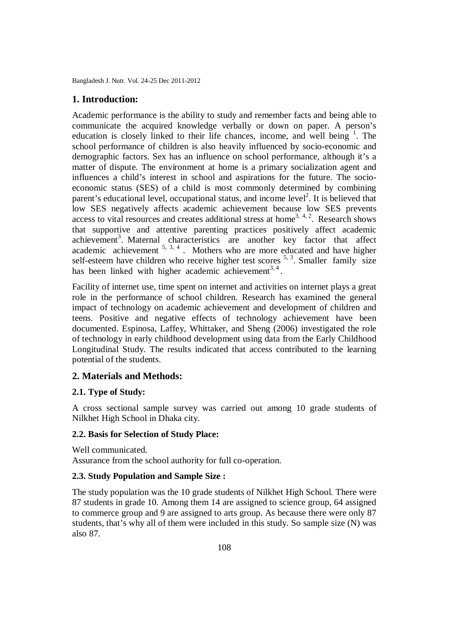# **1. Introduction:**

Academic performance is the ability to study and remember facts and being able to communicate the acquired knowledge verbally or down on paper. A person's education is closely linked to their life chances, income, and well being  $1$ . The school performance of children is also heavily influenced by socio-economic and demographic factors. Sex has an influence on school performance, although it's a matter of dispute. The environment at home is a primary socialization agent and influences a child's interest in school and aspirations for the future. The socioeconomic status (SES) of a child is most commonly determined by combining parent's educational level, occupational status, and income level<sup>2</sup>. It is believed that low SES negatively affects academic achievement because low SES prevents access to vital resources and creates additional stress at home<sup>3, 4, 2</sup>. Research shows that supportive and attentive parenting practices positively affect academic achievement<sup>3</sup>. Maternal characteristics are another key factor that affect academic achievement  $5, 3, 4$ . Mothers who are more educated and have higher self-esteem have children who receive higher test scores  $5, 3$ . Smaller family size has been linked with higher academic achievement<sup>3, 4</sup>.

Facility of internet use, time spent on internet and activities on internet plays a great role in the performance of school children. Research has examined the general impact of technology on academic achievement and development of children and teens. Positive and negative effects of technology achievement have been documented. Espinosa, Laffey, Whittaker, and Sheng (2006) investigated the role of technology in early childhood development using data from the Early Childhood Longitudinal Study. The results indicated that access contributed to the learning potential of the students.

# **2. Materials and Methods:**

# **2.1. Type of Study:**

A cross sectional sample survey was carried out among 10 grade students of Nilkhet High School in Dhaka city.

# **2.2. Basis for Selection of Study Place:**

Well communicated. Assurance from the school authority for full co-operation.

# **2.3. Study Population and Sample Size :**

The study population was the 10 grade students of Nilkhet High School. There were 87 students in grade 10. Among them 14 are assigned to science group, 64 assigned to commerce group and 9 are assigned to arts group. As because there were only 87 students, that's why all of them were included in this study. So sample size (N) was also 87.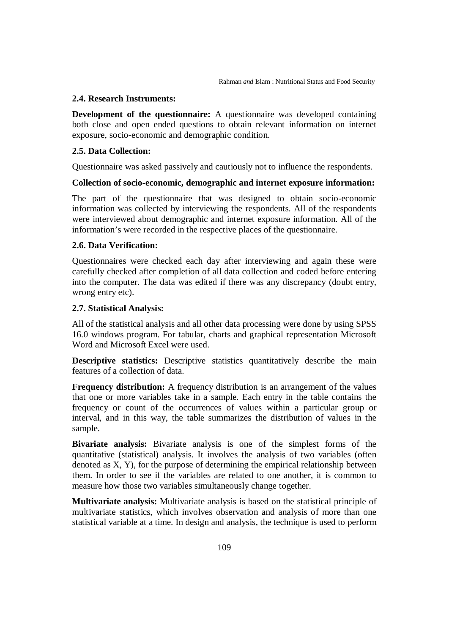#### **2.4. Research Instruments:**

**Development of the questionnaire:** A questionnaire was developed containing both close and open ended questions to obtain relevant information on internet exposure, socio-economic and demographic condition.

### **2.5. Data Collection:**

Questionnaire was asked passively and cautiously not to influence the respondents.

#### **Collection of socio-economic, demographic and internet exposure information:**

The part of the questionnaire that was designed to obtain socio-economic information was collected by interviewing the respondents. All of the respondents were interviewed about demographic and internet exposure information. All of the information's were recorded in the respective places of the questionnaire.

#### **2.6. Data Verification:**

Questionnaires were checked each day after interviewing and again these were carefully checked after completion of all data collection and coded before entering into the computer. The data was edited if there was any discrepancy (doubt entry, wrong entry etc).

### **2.7. Statistical Analysis:**

All of the statistical analysis and all other data processing were done by using SPSS 16.0 windows program. For tabular, charts and graphical representation Microsoft Word and Microsoft Excel were used.

**Descriptive statistics:** Descriptive statistics quantitatively describe the main features of a collection of [data.](http://en.wikipedia.org/wiki/Data)

**Frequency distribution:** A frequency distribution is an arrangement of the values that one or more variables take in a [sample.](http://en.wikipedia.org/wiki/Sampling_%28statistics%29) Each entry in the table contains the [frequency](http://en.wikipedia.org/wiki/Frequency_%28statistics%29) or count of the occurrences of values within a particular group or interval, and in this way, the table summarizes the [distribution](http://en.wikipedia.org/wiki/Statistical_distribution) of values in the sample.

**Bivariate analysis:** Bivariate analysis is one of the simplest forms of the [quantitative \(statistical\) analysis.](http://en.wikipedia.org/wiki/Statistics) It involves the analysis of two [variables](http://en.wikipedia.org/wiki/Variable) (often denoted as X, Y), for the purpose of determining the empirical relationship between them. In order to see if the variables are related to one another, it is common to measure how those two variables simultaneously change together.

**Multivariate analysis:** Multivariate analysis is based on the statistical principle of [multivariate statistics,](http://en.wikipedia.org/wiki/Multivariate_statistics) which involves observation and analysis of more than one statistical [variable](http://en.wikipedia.org/wiki/Variable) at a time. In design and analysis, the technique is used to perform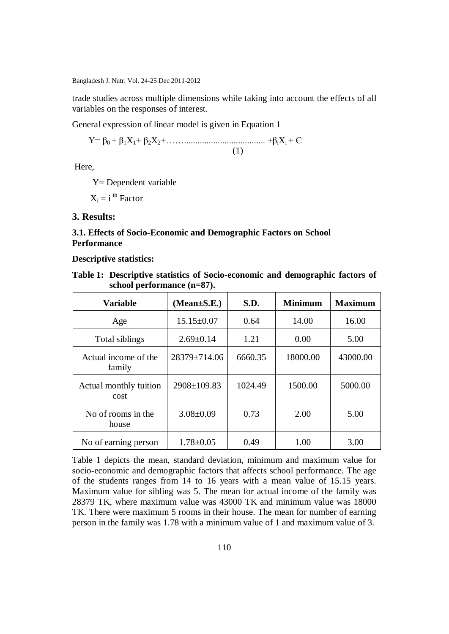trade studies across multiple dimensions while taking into account the effects of all variables on the responses of interest.

General expression of linear model is given in Equation 1

 $Y = \beta_0 + \beta_1 X_1 + \beta_2 X_2 + \dots + \beta_i X_i + C$ (1)

Here,

Y= Dependent variable

 $X_i = i$ <sup>th</sup> Factor

### **3. Results:**

# **3.1. Effects of Socio-Economic and Demographic Factors on School Performance**

**Descriptive statistics:**

| Table 1: Descriptive statistics of Socio-economic and demographic factors of |  |
|------------------------------------------------------------------------------|--|
| school performance $(n=87)$ .                                                |  |

| <b>Variable</b>                | $(Mean \pm S.E.)$  | S.D.    | <b>Minimum</b> | <b>Maximum</b> |
|--------------------------------|--------------------|---------|----------------|----------------|
| Age                            | $15.15 \pm 0.07$   | 0.64    | 14.00          | 16.00          |
| Total siblings                 | $2.69 \pm 0.14$    | 1.21    | 0.00           | 5.00           |
| Actual income of the<br>family | $28379 \pm 714.06$ | 6660.35 | 18000.00       | 43000.00       |
| Actual monthly tuition<br>cost | $2908 \pm 109.83$  | 1024.49 | 1500.00        | 5000.00        |
| No of rooms in the<br>house    | $3.08 \pm 0.09$    | 0.73    | 2.00           | 5.00           |
| No of earning person           | $1.78 \pm 0.05$    | 0.49    | 1.00           | 3.00           |

Table 1 depicts the mean, standard deviation, minimum and maximum value for socio-economic and demographic factors that affects school performance. The age of the students ranges from 14 to 16 years with a mean value of 15.15 years. Maximum value for sibling was 5. The mean for actual income of the family was 28379 TK, where maximum value was 43000 TK and minimum value was 18000 TK. There were maximum 5 rooms in their house. The mean for number of earning person in the family was 1.78 with a minimum value of 1 and maximum value of 3.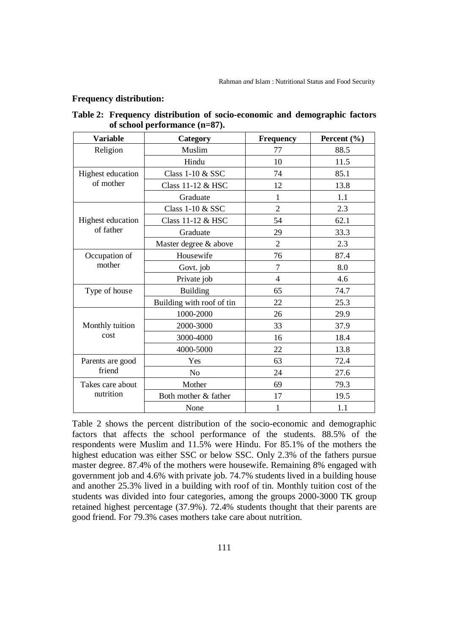# **Frequency distribution:**

| <b>Variable</b>          | Category                    | <b>Frequency</b> | Percent (%) |
|--------------------------|-----------------------------|------------------|-------------|
| Religion                 | Muslim                      | 77               | 88.5        |
|                          | Hindu                       | 10               | 11.5        |
| <b>Highest education</b> | Class 1-10 & SSC            | 74               | 85.1        |
| of mother                | Class 11-12 & HSC           |                  | 13.8        |
|                          | Graduate                    | $\mathbf{1}$     | 1.1         |
|                          | <b>Class 1-10 &amp; SSC</b> | $\overline{2}$   | 2.3         |
| <b>Highest education</b> | Class 11-12 & HSC           | 54               | 62.1        |
| of father                | Graduate                    | 29               | 33.3        |
|                          | Master degree & above       | $\overline{2}$   | 2.3         |
| Occupation of            | Housewife                   | 76               | 87.4        |
| mother                   | Govt. job                   | $\overline{7}$   | 8.0         |
|                          | Private job                 | $\overline{4}$   | 4.6         |
| Type of house            | Building                    |                  | 74.7        |
|                          | Building with roof of tin   | 22               | 25.3        |
|                          | 1000-2000                   | 26               | 29.9        |
| Monthly tuition          | 2000-3000                   | 33               | 37.9        |
| cost                     | 3000-4000                   | 16               | 18.4        |
|                          | 4000-5000                   | 22               | 13.8        |
| Parents are good         | Yes                         | 63               | 72.4        |
| friend                   | N <sub>o</sub>              | 24               | 27.6        |
| Takes care about         | Mother                      | 69               | 79.3        |
| nutrition                | Both mother & father        | 17               | 19.5        |
|                          | None                        | $\mathbf{1}$     | 1.1         |

**Table 2: Frequency distribution of socio-economic and demographic factors of school performance (n=87).**

Table 2 shows the percent distribution of the socio-economic and demographic factors that affects the school performance of the students. 88.5% of the respondents were Muslim and 11.5% were Hindu. For 85.1% of the mothers the highest education was either SSC or below SSC. Only 2.3% of the fathers pursue master degree. 87.4% of the mothers were housewife. Remaining 8% engaged with government job and 4.6% with private job. 74.7% students lived in a building house and another 25.3% lived in a building with roof of tin. Monthly tuition cost of the students was divided into four categories, among the groups 2000-3000 TK group retained highest percentage (37.9%). 72.4% students thought that their parents are good friend. For 79.3% cases mothers take care about nutrition.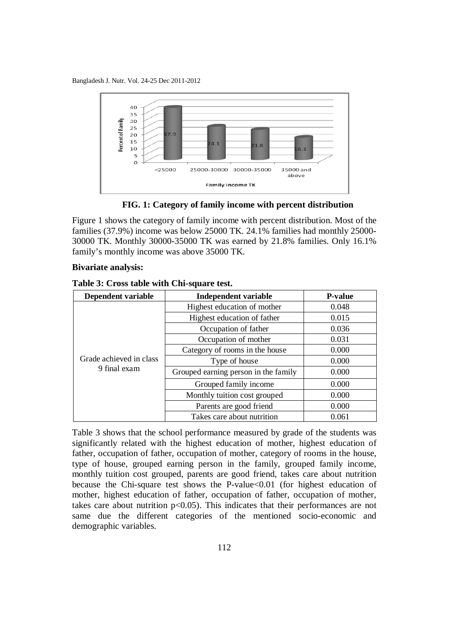

**FIG. 1: Category of family income with percent distribution**

Figure 1 shows the category of family income with percent distribution. Most of the families (37.9%) income was below 25000 TK. 24.1% families had monthly 25000- 30000 TK. Monthly 30000-35000 TK was earned by 21.8% families. Only 16.1% family's monthly income was above 35000 TK.

# **Bivariate analysis:**

|  |  | Table 3: Cross table with Chi-square test. |  |
|--|--|--------------------------------------------|--|
|  |  |                                            |  |

| Dependent variable                      | <b>Independent variable</b>          | <b>P-value</b> |
|-----------------------------------------|--------------------------------------|----------------|
|                                         | Highest education of mother          | 0.048          |
|                                         | Highest education of father          | 0.015          |
|                                         | Occupation of father                 | 0.036          |
|                                         | Occupation of mother                 | 0.031          |
| Grade achieved in class<br>9 final exam | Category of rooms in the house       | 0.000          |
|                                         | Type of house                        | 0.000          |
|                                         | Grouped earning person in the family | 0.000          |
|                                         | Grouped family income                | 0.000          |
|                                         | Monthly tuition cost grouped         | 0.000          |
|                                         | Parents are good friend              | 0.000          |
|                                         | Takes care about nutrition           | 0.061          |

Table 3 shows that the school performance measured by grade of the students was significantly related with the highest education of mother, highest education of father, occupation of father, occupation of mother, category of rooms in the house, type of house, grouped earning person in the family, grouped family income, monthly tuition cost grouped, parents are good friend, takes care about nutrition because the Chi-square test shows the P-value < 0.01 (for highest education of mother, highest education of father, occupation of father, occupation of mother, takes care about nutrition  $p<0.05$ ). This indicates that their performances are not same due the different categories of the mentioned socio-economic and demographic variables.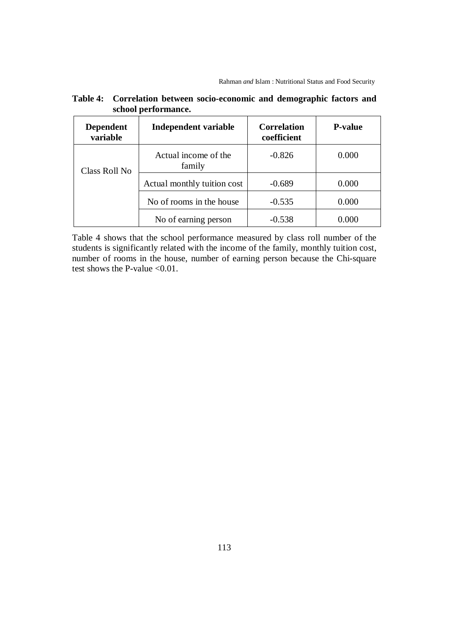| <b>Dependent</b><br>variable | Independent variable           | <b>Correlation</b><br>coefficient | <b>P-value</b> |
|------------------------------|--------------------------------|-----------------------------------|----------------|
| Class Roll No                | Actual income of the<br>family | $-0.826$                          | 0.000          |
|                              | Actual monthly tuition cost    | $-0.689$                          | 0.000          |
| No of rooms in the house     |                                | $-0.535$                          | 0.000          |
|                              | No of earning person           | $-0.538$                          | N 000          |

**Table 4: Correlation between socio-economic and demographic factors and school performance.**

Table 4 shows that the school performance measured by class roll number of the students is significantly related with the income of the family, monthly tuition cost, number of rooms in the house, number of earning person because the Chi-square test shows the P-value  $\leq 0.01$ .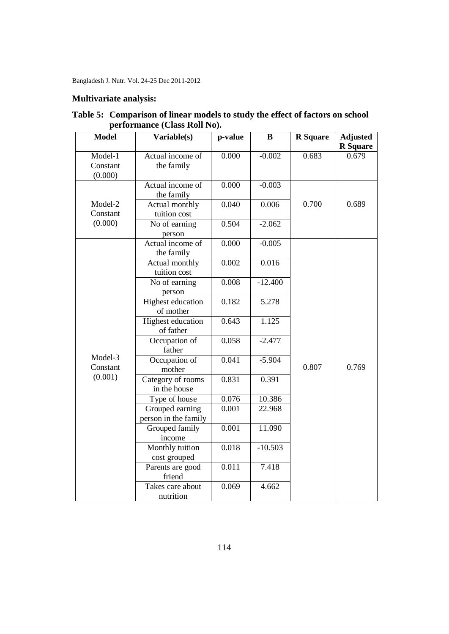# **Multivariate analysis:**

| <b>Model</b>        | Variable(s)                       | p-value | $\bf{B}$  | <b>R</b> Square | <b>Adjusted</b>          |
|---------------------|-----------------------------------|---------|-----------|-----------------|--------------------------|
| Model-1             | Actual income of                  | 0.000   | $-0.002$  | 0.683           | <b>R</b> Square<br>0.679 |
| Constant<br>(0.000) | the family                        |         |           |                 |                          |
|                     | Actual income of<br>the family    | 0.000   | $-0.003$  |                 |                          |
| Model-2<br>Constant | Actual monthly<br>tuition cost    | 0.040   | 0.006     | 0.700           | 0.689                    |
| (0.000)             | No of earning<br>person           | 0.504   | $-2.062$  |                 |                          |
|                     | Actual income of<br>the family    | 0.000   | $-0.005$  |                 |                          |
|                     | Actual monthly<br>tuition cost    | 0.002   | 0.016     |                 |                          |
|                     | No of earning<br>person           | 0.008   | $-12.400$ |                 |                          |
|                     | Highest education<br>of mother    | 0.182   | 5.278     |                 |                          |
|                     | Highest education<br>of father    | 0.643   | 1.125     |                 |                          |
|                     | Occupation of<br>father           | 0.058   | $-2.477$  |                 |                          |
| Model-3<br>Constant | Occupation of<br>mother           | 0.041   | $-5.904$  | 0.807           | 0.769                    |
| (0.001)             | Category of rooms<br>in the house | 0.831   | 0.391     |                 |                          |
|                     | Type of house                     | 0.076   | 10.386    |                 |                          |
|                     | Grouped earning                   | 0.001   | 22.968    |                 |                          |
|                     | person in the family              |         |           |                 |                          |
|                     | Grouped family                    | 0.001   | 11.090    |                 |                          |
|                     | income                            |         |           |                 |                          |
|                     | Monthly tuition<br>cost grouped   | 0.018   | $-10.503$ |                 |                          |
|                     | Parents are good<br>friend        | 0.011   | 7.418     |                 |                          |
|                     | Takes care about<br>nutrition     | 0.069   | 4.662     |                 |                          |

# **Table 5: Comparison of linear models to study the effect of factors on school performance (Class Roll No).**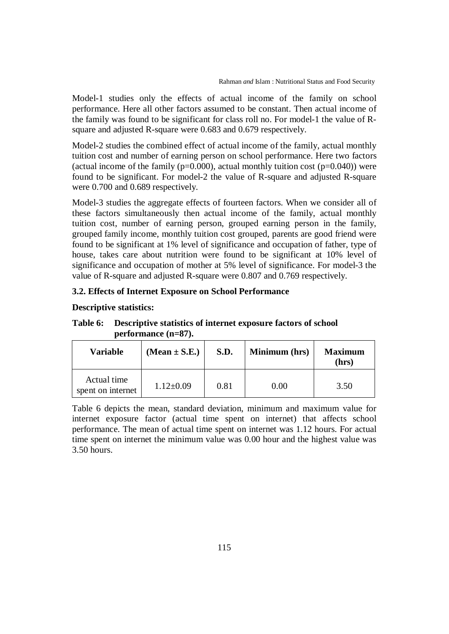Model-1 studies only the effects of actual income of the family on school performance. Here all other factors assumed to be constant. Then actual income of the family was found to be significant for class roll no. For model-1 the value of Rsquare and adjusted R-square were 0.683 and 0.679 respectively.

Model-2 studies the combined effect of actual income of the family, actual monthly tuition cost and number of earning person on school performance. Here two factors (actual income of the family ( $p=0.000$ ), actual monthly tuition cost ( $p=0.040$ )) were found to be significant. For model-2 the value of R-square and adjusted R-square were 0.700 and 0.689 respectively.

Model-3 studies the aggregate effects of fourteen factors. When we consider all of these factors simultaneously then actual income of the family, actual monthly tuition cost, number of earning person, grouped earning person in the family, grouped family income, monthly tuition cost grouped, parents are good friend were found to be significant at 1% level of significance and occupation of father, type of house, takes care about nutrition were found to be significant at 10% level of significance and occupation of mother at 5% level of significance. For model-3 the value of R-square and adjusted R-square were 0.807 and 0.769 respectively.

### **3.2. Effects of Internet Exposure on School Performance**

#### **Descriptive statistics:**

**Table 6: Descriptive statistics of internet exposure factors of school performance (n=87).**

| <b>Variable</b>                  | $(Mean \pm S.E.)$ | S.D. | Minimum (hrs) | <b>Maximum</b><br>(hrs) |
|----------------------------------|-------------------|------|---------------|-------------------------|
| Actual time<br>spent on internet | $1.12 \pm 0.09$   | 0.81 | 0.00          | 3.50                    |

Table 6 depicts the mean, standard deviation, minimum and maximum value for internet exposure factor (actual time spent on internet) that affects school performance. The mean of actual time spent on internet was 1.12 hours. For actual time spent on internet the minimum value was 0.00 hour and the highest value was 3.50 hours.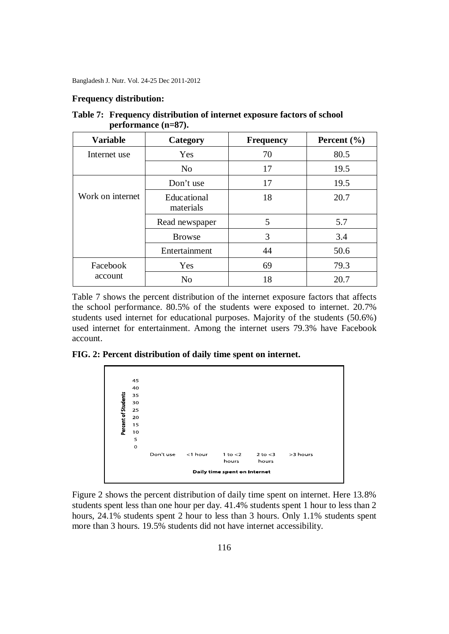#### **Frequency distribution:**

| <b>Variable</b>  | ---- (-- - - <i>)</i> -  |                  |                 |
|------------------|--------------------------|------------------|-----------------|
|                  | Category                 | <b>Frequency</b> | Percent $(\% )$ |
| Internet use     | Yes                      | 70               | 80.5            |
|                  | N <sub>o</sub>           | 17               | 19.5            |
|                  | Don't use                | 17               | 19.5            |
| Work on internet | Educational<br>materials | 18               | 20.7            |
|                  | Read newspaper           | 5                | 5.7             |
|                  | <b>Browse</b>            | 3                | 3.4             |
|                  | Entertainment            | 44               | 50.6            |
| Facebook         | Yes                      | 69               | 79.3            |
| account          | N <sub>o</sub>           | 18               | 20.7            |

**Table 7: Frequency distribution of internet exposure factors of school performance (n=87).**

Table 7 shows the percent distribution of the internet exposure factors that affects the school performance. 80.5% of the students were exposed to internet. 20.7% students used internet for educational purposes. Majority of the students (50.6%) used internet for entertainment. Among the internet users 79.3% have Facebook account.

**FIG. 2: Percent distribution of daily time spent on internet.**



Figure 2 shows the percent distribution of daily time spent on internet. Here 13.8% students spent less than one hour per day. 41.4% students spent 1 hour to less than 2 hours, 24.1% students spent 2 hour to less than 3 hours. Only 1.1% students spent more than 3 hours. 19.5% students did not have internet accessibility.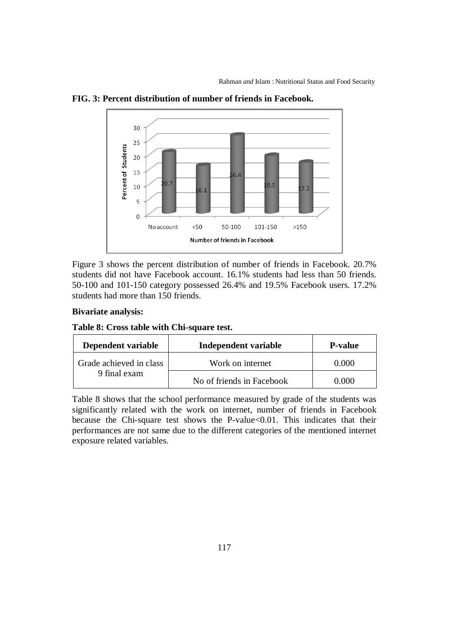

**FIG. 3: Percent distribution of number of friends in Facebook.**

Figure 3 shows the percent distribution of number of friends in Facebook. 20.7% students did not have Facebook account. 16.1% students had less than 50 friends. 50-100 and 101-150 category possessed 26.4% and 19.5% Facebook users. 17.2% students had more than 150 friends.

### **Bivariate analysis:**

|  |  |  |  | Table 8: Cross table with Chi-square test. |  |
|--|--|--|--|--------------------------------------------|--|
|--|--|--|--|--------------------------------------------|--|

| Dependent variable      | Independent variable      | <b>P-value</b> |
|-------------------------|---------------------------|----------------|
| Grade achieved in class | Work on internet          | 0.000          |
| 9 final exam            | No of friends in Facebook | 0.000          |

Table 8 shows that the school performance measured by grade of the students was significantly related with the work on internet, number of friends in Facebook because the Chi-square test shows the P-value<0.01. This indicates that their performances are not same due to the different categories of the mentioned internet exposure related variables.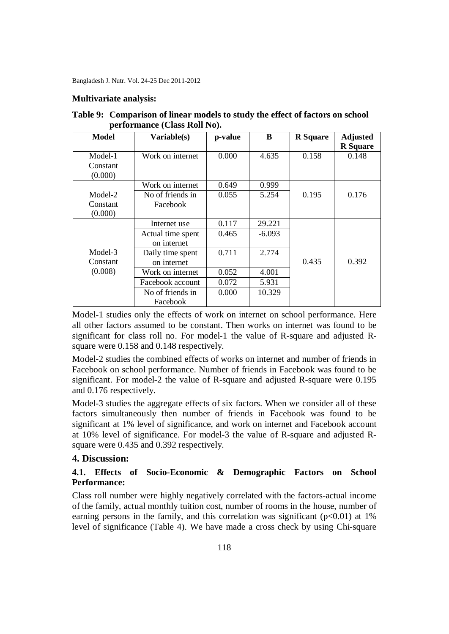#### **Multivariate analysis:**

|                                | $\mathbf{P}_{\text{S}}$          |         |          |                 |                                    |  |  |
|--------------------------------|----------------------------------|---------|----------|-----------------|------------------------------------|--|--|
| Model                          | Variable(s)                      | p-value | B        | <b>R</b> Square | <b>Adjusted</b><br><b>R</b> Square |  |  |
| Model-1<br>Constant<br>(0.000) | Work on internet                 | 0.000   | 4.635    | 0.158           | 0.148                              |  |  |
|                                | Work on internet                 | 0.649   | 0.999    |                 |                                    |  |  |
| Model-2<br>Constant<br>(0.000) | No of friends in<br>Facebook     | 0.055   | 5.254    | 0.195           | 0.176                              |  |  |
|                                | Internet use                     | 0.117   | 29.221   |                 |                                    |  |  |
|                                | Actual time spent<br>on internet | 0.465   | $-6.093$ |                 |                                    |  |  |
| Model-3<br>Constant            | Daily time spent<br>on internet  | 0.711   | 2.774    | 0.435           | 0.392                              |  |  |
| (0.008)                        | Work on internet                 | 0.052   | 4.001    |                 |                                    |  |  |
|                                | Facebook account                 | 0.072   | 5.931    |                 |                                    |  |  |
|                                | No of friends in<br>Facebook     | 0.000   | 10.329   |                 |                                    |  |  |

**Table 9: Comparison of linear models to study the effect of factors on school performance (Class Roll No).**

Model-1 studies only the effects of work on internet on school performance. Here all other factors assumed to be constant. Then works on internet was found to be significant for class roll no. For model-1 the value of R-square and adjusted Rsquare were 0.158 and 0.148 respectively.

Model-2 studies the combined effects of works on internet and number of friends in Facebook on school performance. Number of friends in Facebook was found to be significant. For model-2 the value of R-square and adjusted R-square were 0.195 and 0.176 respectively.

Model-3 studies the aggregate effects of six factors. When we consider all of these factors simultaneously then number of friends in Facebook was found to be significant at 1% level of significance, and work on internet and Facebook account at 10% level of significance. For model-3 the value of R-square and adjusted Rsquare were 0.435 and 0.392 respectively.

# **4. Discussion:**

# **4.1. Effects of Socio-Economic & Demographic Factors on School Performance:**

Class roll number were highly negatively correlated with the factors-actual income of the family, actual monthly tuition cost, number of rooms in the house, number of earning persons in the family, and this correlation was significant  $(p<0.01)$  at 1% level of significance (Table 4). We have made a cross check by using Chi-square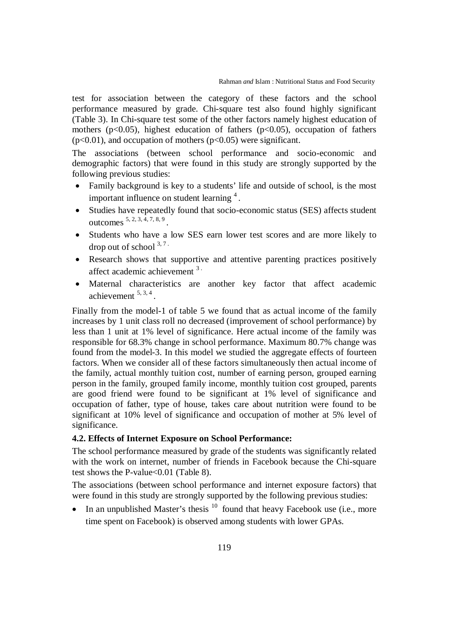test for association between the category of these factors and the school performance measured by grade. Chi-square test also found highly significant (Table 3). In Chi-square test some of the other factors namely highest education of mothers ( $p<0.05$ ), highest education of fathers ( $p<0.05$ ), occupation of fathers  $(p<0.01)$ , and occupation of mothers  $(p<0.05)$  were significant.

The associations (between school performance and socio-economic and demographic factors) that were found in this study are strongly supported by the following previous studies:

- Family background is key to a students' life and outside of school, is the most important influence on student learning  $4$ .
- Studies have repeatedly found that socio-economic status (SES) affects student outcomes 5, 2, 3, 4, 7, 8, 9 .
- Students who have a low SES earn lower test scores and are more likely to drop out of school  $3,7$ .
- Research shows that supportive and attentive parenting practices positively affect academic achievement 3 .
- Maternal characteristics are another key factor that affect academic achievement  $5, 3, 4$ .

Finally from the model-1 of table 5 we found that as actual income of the family increases by 1 unit class roll no decreased (improvement of school performance) by less than 1 unit at 1% level of significance. Here actual income of the family was responsible for 68.3% change in school performance. Maximum 80.7% change was found from the model-3. In this model we studied the aggregate effects of fourteen factors. When we consider all of these factors simultaneously then actual income of the family, actual monthly tuition cost, number of earning person, grouped earning person in the family, grouped family income, monthly tuition cost grouped, parents are good friend were found to be significant at 1% level of significance and occupation of father, type of house, takes care about nutrition were found to be significant at 10% level of significance and occupation of mother at 5% level of significance.

### **4.2. Effects of Internet Exposure on School Performance:**

The school performance measured by grade of the students was significantly related with the work on internet, number of friends in Facebook because the Chi-square test shows the P-value<0.01 (Table 8).

The associations (between school performance and internet exposure factors) that were found in this study are strongly supported by the following previous studies:

• In an unpublished Master's thesis  $10$  found that heavy Facebook use (i.e., more time spent on Facebook) is observed among students with lower GPAs.